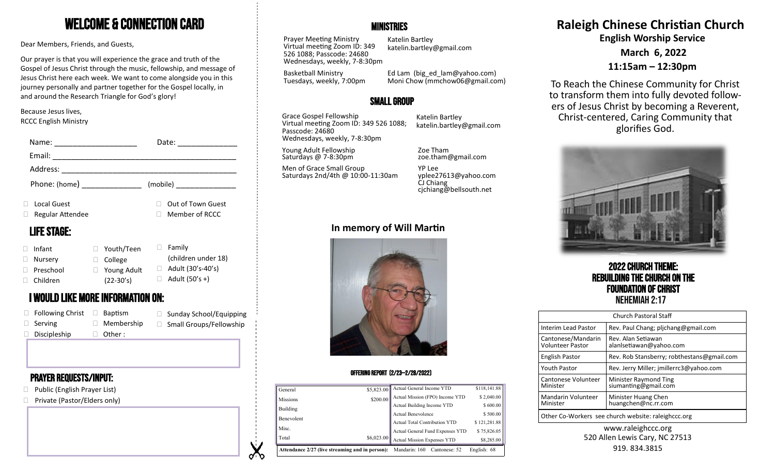# Welcome & Connection Card

Dear Members, Friends, and Guests,

Our prayer is that you will experience the grace and truth of the Gospel of Jesus Christ through the music, fellowship, and message of Jesus Christ here each week. We want to come alongside you in this journey personally and partner together for the Gospel locally, in and around the Research Triangle for God's glory!

#### Because Jesus lives, RCCC English Ministry

| Name:              |                                          | Date:                     | Wednesdays, weekly, 7-8:30pm                   |                                                             |                                                     |
|--------------------|------------------------------------------|---------------------------|------------------------------------------------|-------------------------------------------------------------|-----------------------------------------------------|
| Email:             |                                          |                           | Young Adult Fellowship<br>Saturdays @ 7-8:30pm | Zoe Tham<br>zoe.tham@gmail.com                              |                                                     |
| Address:           |                                          |                           | Men of Grace Small Group                       | YP Lee                                                      |                                                     |
| Phone: (home)      |                                          | (mobile)                  | Saturdays 2nd/4th @ 10:00-11:30am              | yplee27613@yahoo.com<br>CJ Chiang<br>cjchiang@bellsouth.net |                                                     |
| Local Guest        |                                          | Out of Town Guest         |                                                |                                                             |                                                     |
| Regular Attendee   |                                          | Member of RCCC            |                                                |                                                             |                                                     |
| <b>LIFE STAGE:</b> |                                          | In memory of Will Martin  |                                                |                                                             |                                                     |
| Infant             | Youth/Teen                               | $\Box$ Family             |                                                |                                                             |                                                     |
| Nursery            | $\Box$ College                           | (children under 18)       |                                                |                                                             | <b>2022 CHURCH THE</b>                              |
| Preschool          | □ Young Adult                            | $\Box$ Adult (30's-40's)  |                                                |                                                             |                                                     |
| Children           | $(22-30's)$                              | $\Box$ Adult (50's +)     |                                                |                                                             | <b>REBUILDING THE CHURC</b>                         |
|                    | <b>I WOULD LIKE MORE INFORMATION ON:</b> |                           |                                                |                                                             | <b>FOUNDATION OF CH</b><br><b>NEHEMIAH 2:17</b>     |
| □ Following Christ | $\Box$ Baptism                           | □ Sunday School/Equipping |                                                |                                                             | Church Pastoral Sta                                 |
| $\Box$ Serving     | $\Box$ Membership                        | □ Small Groups/Fellowship |                                                |                                                             | Rev. Paul Chang; pljo<br><b>Interim Lead Pastor</b> |
| Discipleship       | Other :                                  |                           |                                                |                                                             |                                                     |

### Prayer requests/Input:

- □ Public (English Prayer List)
- □ Private (Pastor/Elders only)

### **MINISTRIES**

Prayer Meeting Ministry Virtual meeting Zoom ID: 349 526 1088; Passcode: 24680 Wednesdays, weekly, 7-8:30pm

Katelin Bartley katelin.bartley@gmail.com

Basketball Ministry Tuesdays, weekly, 7:00pm

Ed Lam (big\_ed\_lam@yahoo.com) Moni Chow (mmchow06@gmail.com)

## Small Group

Grace Gospel Fellowship Virtual meeting Zoom ID: 349 526 1088; Passcode: 24680 Wednesdays, weekly, 7-8:30pm

Katelin Bartley katelin.bartley@gmail.com

## **In memory of Will Martin**



#### Offering Report (2/23—2/28/2022)

|                   |                    | <b>Attendance 2/27 (live streaming and in person):</b> Mandarin: 160 Cantonese: 52 | English: 68  |
|-------------------|--------------------|------------------------------------------------------------------------------------|--------------|
| Total             | \$6,023.00         | <b>Actual Mission Expenses YTD</b>                                                 | \$8,285.00   |
| Misc.             |                    | Actual General Fund Expenses YTD                                                   | \$75,826.05  |
| <b>Benevolent</b> |                    | Actual Total Contribution YTD                                                      | \$121,281.88 |
|                   | Actual Benevolence |                                                                                    | \$500.00     |
| Building          |                    | Actual Building Income YTD                                                         | \$600.00     |
| <b>Missions</b>   | \$200.00           | Actual Mission (FPO) Income YTD                                                    | \$2,040.00   |
| General           | \$5,823.00         | Actual General Income YTD                                                          | \$118,141.88 |

# **Raleigh Chinese Christian Church English Worship Service**

**March 6, 2022**

**11:15am – 12:30pm**

To Reach the Chinese Community for Christ to transform them into fully devoted followers of Jesus Christ by becoming a Reverent, Christ-centered, Caring Community that glorifies God.



2022 Church Theme: Rebuilding the Church on the **Foundation of Christ**<br>Nehemiah 2:17

| <b>Church Pastoral Staff</b>                        |                                               |  |  |  |
|-----------------------------------------------------|-----------------------------------------------|--|--|--|
| Interim Lead Pastor                                 | Rev. Paul Chang; plichang@gmail.com           |  |  |  |
| Cantonese/Mandarin<br><b>Volunteer Pastor</b>       | Rev. Alan Setiawan<br>alanlsetiawan@yahoo.com |  |  |  |
| <b>English Pastor</b>                               | Rev. Rob Stansberry; robthestans@gmail.com    |  |  |  |
| <b>Youth Pastor</b>                                 | Rev. Jerry Miller; jmillerrc3@yahoo.com       |  |  |  |
| Cantonese Volunteer<br>Minister                     | Minister Raymond Ting<br>siumanting@gmail.com |  |  |  |
| <b>Mandarin Volunteer</b><br>Minister               | Minister Huang Chen<br>huangchen@nc.rr.com    |  |  |  |
| Other Co-Workers see church website: raleighccc.org |                                               |  |  |  |

www.raleighccc.org 520 Allen Lewis Cary, NC 27513 919.834.3815